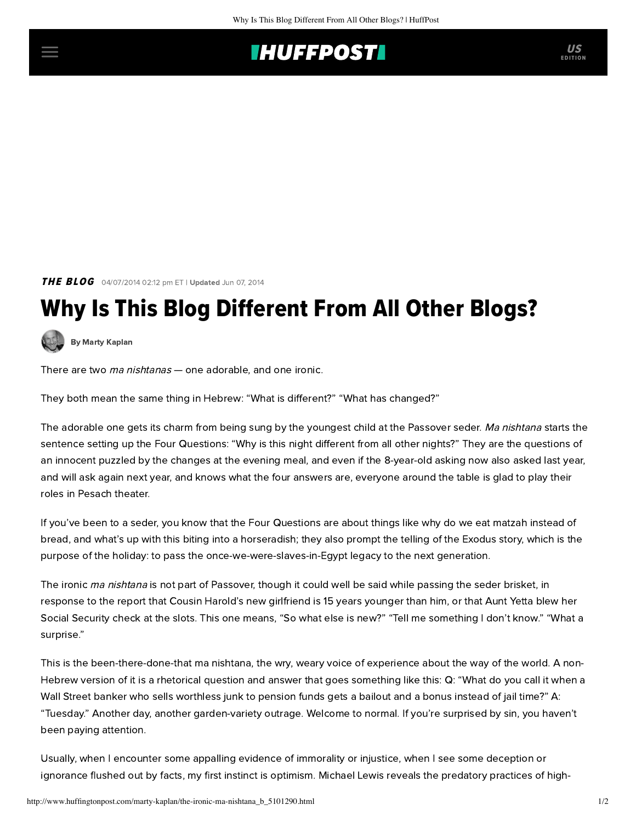## **IHUFFPOSTI** US

**THE BLOG** 04/07/2014 02:12 pm ET | Updated Jun 07, 2014

## Why Is This Blog Different From All Other Blogs?

[By Marty Kaplan](http://www.huffingtonpost.com/author/marty-kaplan)

There are two ma nishtanas - one adorable, and one ironic.

They both mean the same thing in Hebrew: "What is different?" "What has changed?"

The adorable one gets its charm from being sung by the youngest child at the Passover seder. Ma nishtana starts the sentence setting up the Four Questions: "Why is this night different from all other nights?" They are the questions of an innocent puzzled by the changes at the evening meal, and even if the 8-year-old asking now also asked last year, and will ask again next year, and knows what the four answers are, everyone around the table is glad to play their roles in Pesach theater.

If you've been to a seder, you know that the Four Questions are about things like why do we eat matzah instead of bread, and what's up with this biting into a horseradish; they also prompt the telling of the Exodus story, which is the purpose of the holiday: to pass the once-we-were-slaves-in-Egypt legacy to the next generation.

The ironic ma nishtana is not part of Passover, though it could well be said while passing the seder brisket, in response to the report that Cousin Harold's new girlfriend is 15 years younger than him, or that Aunt Yetta blew her Social Security check at the slots. This one means, "So what else is new?" "Tell me something I don't know." "What a surprise."

This is the been-there-done-that ma nishtana, the wry, weary voice of experience about the way of the world. A non-Hebrew version of it is a rhetorical question and answer that goes something like this: Q: "What do you call it when a Wall Street banker who sells worthless junk to pension funds gets a bailout and a bonus instead of jail time?" A: "Tuesday." Another day, another garden-variety outrage. Welcome to normal. If you're surprised by sin, you haven't been paying attention.

Usually, when I encounter some appalling evidence of immorality or injustice, when I see some deception or ignorance flushed out by facts, my first instinct is optimism. Michael Lewis reveals the predatory practices of high-